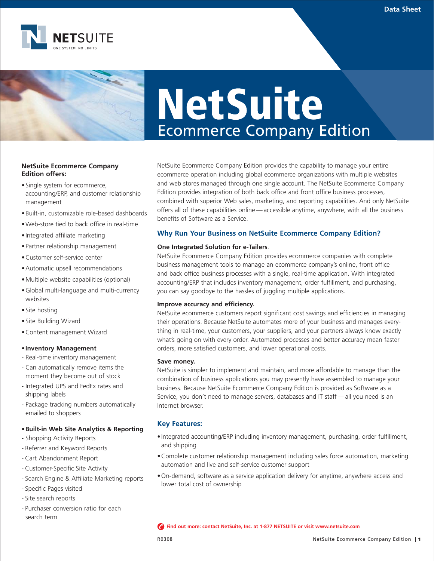

# **NetSuite** Ecommerce Company Edition

# **NetSuite Ecommerce Company Edition offers:**

- •Single system for ecommerce, accounting/ERP, and customer relationship management
- •Built-in, customizable role-based dashboards
- •Web-store tied to back office in real-time
- •Integrated affiliate marketing
- •Partner relationship management
- •Customer self-service center
- •Automatic upsell recommendations
- •Multiple website capabilities (optional)
- •Global multi-language and multi-currency websites
- •Site hosting
- •Site Building Wizard
- •Content management Wizard

#### **•Inventory Management**

- Real-time inventory management
- Can automatically remove items the moment they become out of stock
- Integrated UPS and FedEx rates and shipping labels
- Package tracking numbers automatically emailed to shoppers

## **•Built-in Web Site Analytics & Reporting**

- Shopping Activity Reports
- Referrer and Keyword Reports
- Cart Abandonment Report
- Customer-Specific Site Activity
- Search Engine & Affiliate Marketing reports
- Specific Pages visited
- Site search reports
- Purchaser conversion ratio for each search term

NetSuite Ecommerce Company Edition provides the capability to manage your entire ecommerce operation including global ecommerce organizations with multiple websites and web stores managed through one single account. The NetSuite Ecommerce Company Edition provides integration of both back office and front office business processes, combined with superior Web sales, marketing, and reporting capabilities. And only NetSuite offers all of these capabilities online — accessible anytime, anywhere, with all the business benefits of Software as a Service.

# **Why Run Your Business on NetSuite Ecommerce Company Edition?**

#### **One Integrated Solution for e-Tailers**.

NetSuite Ecommerce Company Edition provides ecommerce companies with complete business management tools to manage an ecommerce company's online, front office and back office business processes with a single, real-time application. With integrated accounting/ERP that includes inventory management, order fulfillment, and purchasing, you can say goodbye to the hassles of juggling multiple applications.

#### **Improve accuracy and efficiency.**

NetSuite ecommerce customers report significant cost savings and efficiencies in managing their operations. Because NetSuite automates more of your business and manages everything in real-time, your customers, your suppliers, and your partners always know exactly what's going on with every order. Automated processes and better accuracy mean faster orders, more satisfied customers, and lower operational costs.

#### **Save money.**

NetSuite is simpler to implement and maintain, and more affordable to manage than the combination of business applications you may presently have assembled to manage your business. Because NetSuite Ecommerce Company Edition is provided as Software as a Service, you don't need to manage servers, databases and IT staff-all you need is an Internet browser.

## **Key Features:**

- •Integrated accounting/ERP including inventory management, purchasing, order fulfillment, and shipping
- •Complete customer relationship management including sales force automation, marketing automation and live and self-service customer support
- •On-demand, software as a service application delivery for anytime, anywhere access and lower total cost of ownership